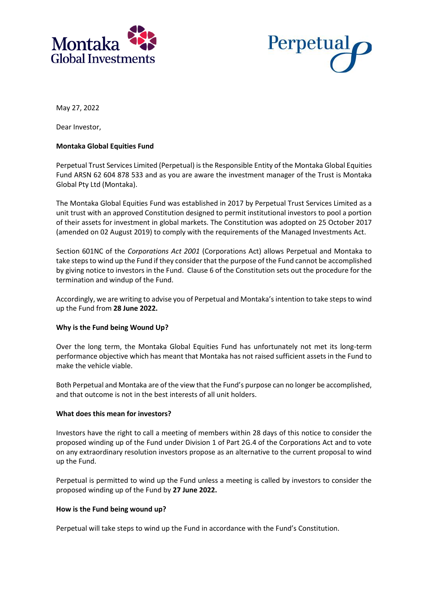



May 27, 2022

Dear Investor,

# **Montaka Global Equities Fund**

Perpetual Trust Services Limited (Perpetual) is the Responsible Entity of the Montaka Global Equities Fund ARSN 62 604 878 533 and as you are aware the investment manager of the Trust is Montaka Global Pty Ltd (Montaka).

The Montaka Global Equities Fund was established in 2017 by Perpetual Trust Services Limited as a unit trust with an approved Constitution designed to permit institutional investors to pool a portion of their assets for investment in global markets. The Constitution was adopted on 25 October 2017 (amended on 02 August 2019) to comply with the requirements of the Managed Investments Act.

Section 601NC of the *Corporations Act 2001* (Corporations Act) allows Perpetual and Montaka to take steps to wind up the Fund if they consider that the purpose of the Fund cannot be accomplished by giving notice to investors in the Fund. Clause 6 of the Constitution sets out the procedure for the termination and windup of the Fund.

Accordingly, we are writing to advise you of Perpetual and Montaka's intention to take steps to wind up the Fund from **28 June 2022.**

## **Why is the Fund being Wound Up?**

Over the long term, the Montaka Global Equities Fund has unfortunately not met its long-term performance objective which has meant that Montaka has not raised sufficient assets in the Fund to make the vehicle viable.

Both Perpetual and Montaka are of the view that the Fund's purpose can no longer be accomplished, and that outcome is not in the best interests of all unit holders.

## **What does this mean for investors?**

Investors have the right to call a meeting of members within 28 days of this notice to consider the proposed winding up of the Fund under Division 1 of Part 2G.4 of the Corporations Act and to vote on any extraordinary resolution investors propose as an alternative to the current proposal to wind up the Fund.

Perpetual is permitted to wind up the Fund unless a meeting is called by investors to consider the proposed winding up of the Fund by **27 June 2022.**

## **How is the Fund being wound up?**

Perpetual will take steps to wind up the Fund in accordance with the Fund's Constitution.